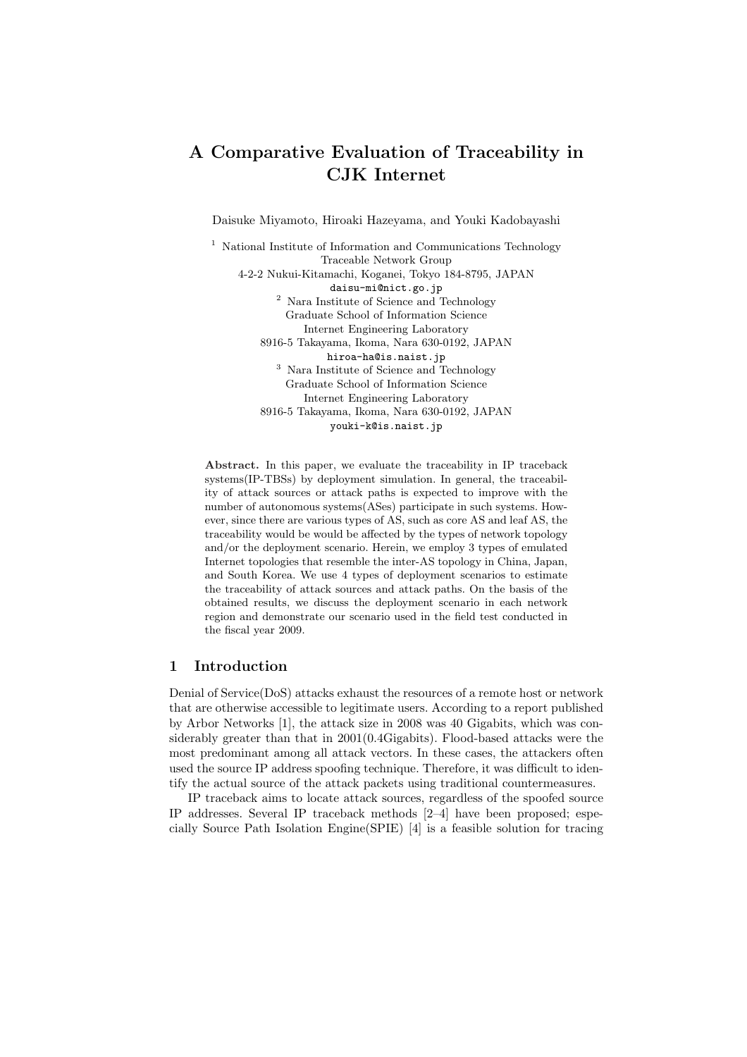# A Comparative Evaluation of Traceability in CJK Internet

Daisuke Miyamoto, Hiroaki Hazeyama, and Youki Kadobayashi

<sup>1</sup> National Institute of Information and Communications Technology Traceable Network Group 4-2-2 Nukui-Kitamachi, Koganei, Tokyo 184-8795, JAPAN daisu-mi@nict.go.jp  $^2\,$  Nara Institute of Science and Technology Graduate School of Information Science Internet Engineering Laboratory 8916-5 Takayama, Ikoma, Nara 630-0192, JAPAN hiroa-ha@is.naist.jp <sup>3</sup> Nara Institute of Science and Technology Graduate School of Information Science Internet Engineering Laboratory 8916-5 Takayama, Ikoma, Nara 630-0192, JAPAN youki-k@is.naist.jp

Abstract. In this paper, we evaluate the traceability in IP traceback systems(IP-TBSs) by deployment simulation. In general, the traceability of attack sources or attack paths is expected to improve with the number of autonomous systems(ASes) participate in such systems. However, since there are various types of AS, such as core AS and leaf AS, the traceability would be would be affected by the types of network topology and/or the deployment scenario. Herein, we employ 3 types of emulated Internet topologies that resemble the inter-AS topology in China, Japan, and South Korea. We use 4 types of deployment scenarios to estimate the traceability of attack sources and attack paths. On the basis of the obtained results, we discuss the deployment scenario in each network region and demonstrate our scenario used in the field test conducted in the fiscal year 2009.

# 1 Introduction

Denial of Service(DoS) attacks exhaust the resources of a remote host or network that are otherwise accessible to legitimate users. According to a report published by Arbor Networks [1], the attack size in 2008 was 40 Gigabits, which was considerably greater than that in 2001(0.4Gigabits). Flood-based attacks were the most predominant among all attack vectors. In these cases, the attackers often used the source IP address spoofing technique. Therefore, it was difficult to identify the actual source of the attack packets using traditional countermeasures.

IP traceback aims to locate attack sources, regardless of the spoofed source IP addresses. Several IP traceback methods [2–4] have been proposed; especially Source Path Isolation Engine(SPIE) [4] is a feasible solution for tracing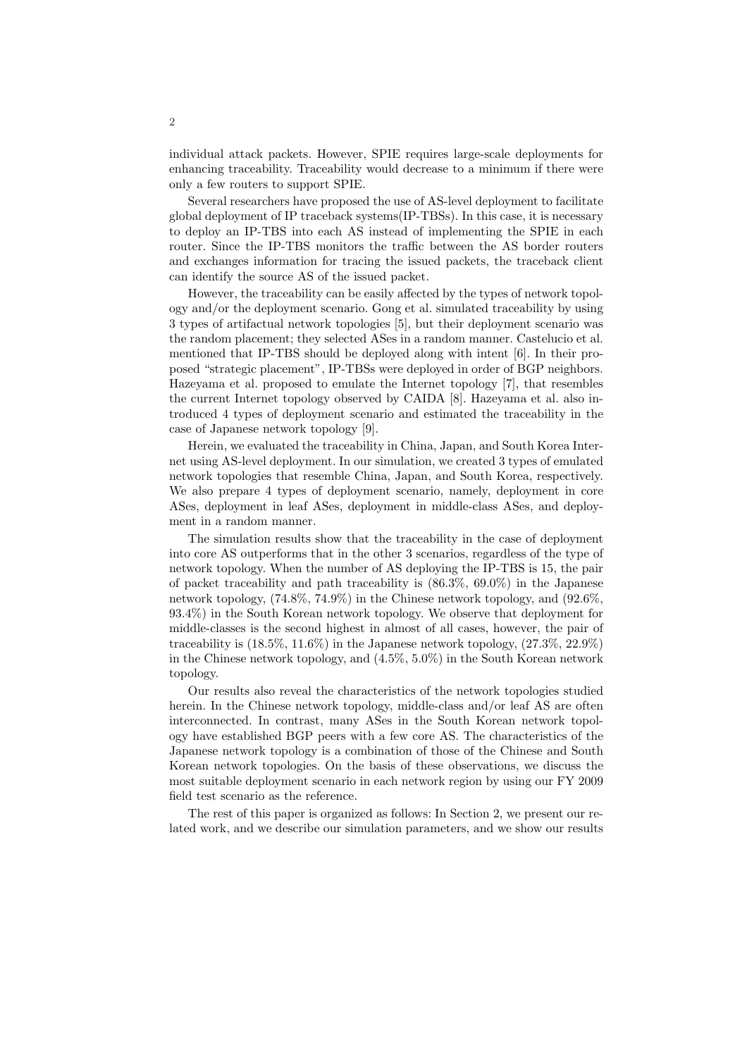individual attack packets. However, SPIE requires large-scale deployments for enhancing traceability. Traceability would decrease to a minimum if there were only a few routers to support SPIE.

Several researchers have proposed the use of AS-level deployment to facilitate global deployment of IP traceback systems(IP-TBSs). In this case, it is necessary to deploy an IP-TBS into each AS instead of implementing the SPIE in each router. Since the IP-TBS monitors the traffic between the AS border routers and exchanges information for tracing the issued packets, the traceback client can identify the source AS of the issued packet.

However, the traceability can be easily affected by the types of network topology and/or the deployment scenario. Gong et al. simulated traceability by using 3 types of artifactual network topologies [5], but their deployment scenario was the random placement; they selected ASes in a random manner. Castelucio et al. mentioned that IP-TBS should be deployed along with intent [6]. In their proposed "strategic placement", IP-TBSs were deployed in order of BGP neighbors. Hazeyama et al. proposed to emulate the Internet topology [7], that resembles the current Internet topology observed by CAIDA [8]. Hazeyama et al. also introduced 4 types of deployment scenario and estimated the traceability in the case of Japanese network topology [9].

Herein, we evaluated the traceability in China, Japan, and South Korea Internet using AS-level deployment. In our simulation, we created 3 types of emulated network topologies that resemble China, Japan, and South Korea, respectively. We also prepare 4 types of deployment scenario, namely, deployment in core ASes, deployment in leaf ASes, deployment in middle-class ASes, and deployment in a random manner.

The simulation results show that the traceability in the case of deployment into core AS outperforms that in the other 3 scenarios, regardless of the type of network topology. When the number of AS deploying the IP-TBS is 15, the pair of packet traceability and path traceability is (86.3%, 69.0%) in the Japanese network topology, (74.8%, 74.9%) in the Chinese network topology, and (92.6%, 93.4%) in the South Korean network topology. We observe that deployment for middle-classes is the second highest in almost of all cases, however, the pair of traceability is  $(18.5\%, 11.6\%)$  in the Japanese network topology,  $(27.3\%, 22.9\%)$ in the Chinese network topology, and (4.5%, 5.0%) in the South Korean network topology.

Our results also reveal the characteristics of the network topologies studied herein. In the Chinese network topology, middle-class and/or leaf AS are often interconnected. In contrast, many ASes in the South Korean network topology have established BGP peers with a few core AS. The characteristics of the Japanese network topology is a combination of those of the Chinese and South Korean network topologies. On the basis of these observations, we discuss the most suitable deployment scenario in each network region by using our FY 2009 field test scenario as the reference.

The rest of this paper is organized as follows: In Section 2, we present our related work, and we describe our simulation parameters, and we show our results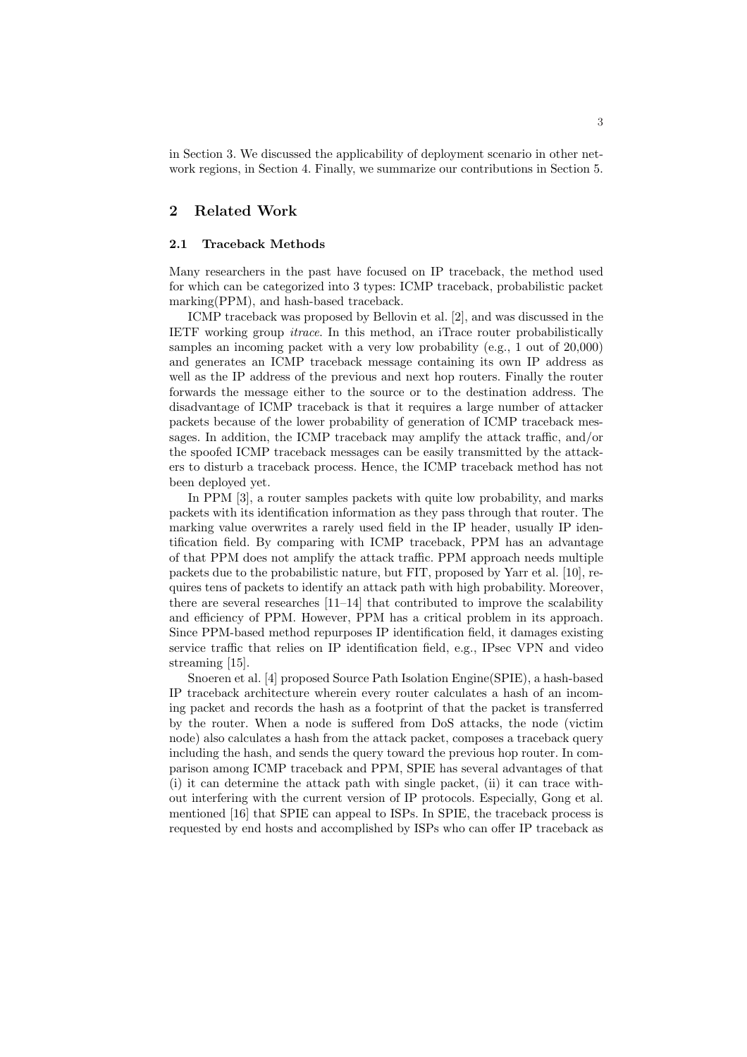in Section 3. We discussed the applicability of deployment scenario in other network regions, in Section 4. Finally, we summarize our contributions in Section 5.

## 2 Related Work

#### 2.1 Traceback Methods

Many researchers in the past have focused on IP traceback, the method used for which can be categorized into 3 types: ICMP traceback, probabilistic packet marking(PPM), and hash-based traceback.

ICMP traceback was proposed by Bellovin et al. [2], and was discussed in the IETF working group itrace. In this method, an iTrace router probabilistically samples an incoming packet with a very low probability (e.g., 1 out of 20,000) and generates an ICMP traceback message containing its own IP address as well as the IP address of the previous and next hop routers. Finally the router forwards the message either to the source or to the destination address. The disadvantage of ICMP traceback is that it requires a large number of attacker packets because of the lower probability of generation of ICMP traceback messages. In addition, the ICMP traceback may amplify the attack traffic, and/or the spoofed ICMP traceback messages can be easily transmitted by the attackers to disturb a traceback process. Hence, the ICMP traceback method has not been deployed yet.

In PPM [3], a router samples packets with quite low probability, and marks packets with its identification information as they pass through that router. The marking value overwrites a rarely used field in the IP header, usually IP identification field. By comparing with ICMP traceback, PPM has an advantage of that PPM does not amplify the attack traffic. PPM approach needs multiple packets due to the probabilistic nature, but FIT, proposed by Yarr et al. [10], requires tens of packets to identify an attack path with high probability. Moreover, there are several researches [11–14] that contributed to improve the scalability and efficiency of PPM. However, PPM has a critical problem in its approach. Since PPM-based method repurposes IP identification field, it damages existing service traffic that relies on IP identification field, e.g., IPsec VPN and video streaming [15].

Snoeren et al. [4] proposed Source Path Isolation Engine(SPIE), a hash-based IP traceback architecture wherein every router calculates a hash of an incoming packet and records the hash as a footprint of that the packet is transferred by the router. When a node is suffered from DoS attacks, the node (victim node) also calculates a hash from the attack packet, composes a traceback query including the hash, and sends the query toward the previous hop router. In comparison among ICMP traceback and PPM, SPIE has several advantages of that (i) it can determine the attack path with single packet, (ii) it can trace without interfering with the current version of IP protocols. Especially, Gong et al. mentioned [16] that SPIE can appeal to ISPs. In SPIE, the traceback process is requested by end hosts and accomplished by ISPs who can offer IP traceback as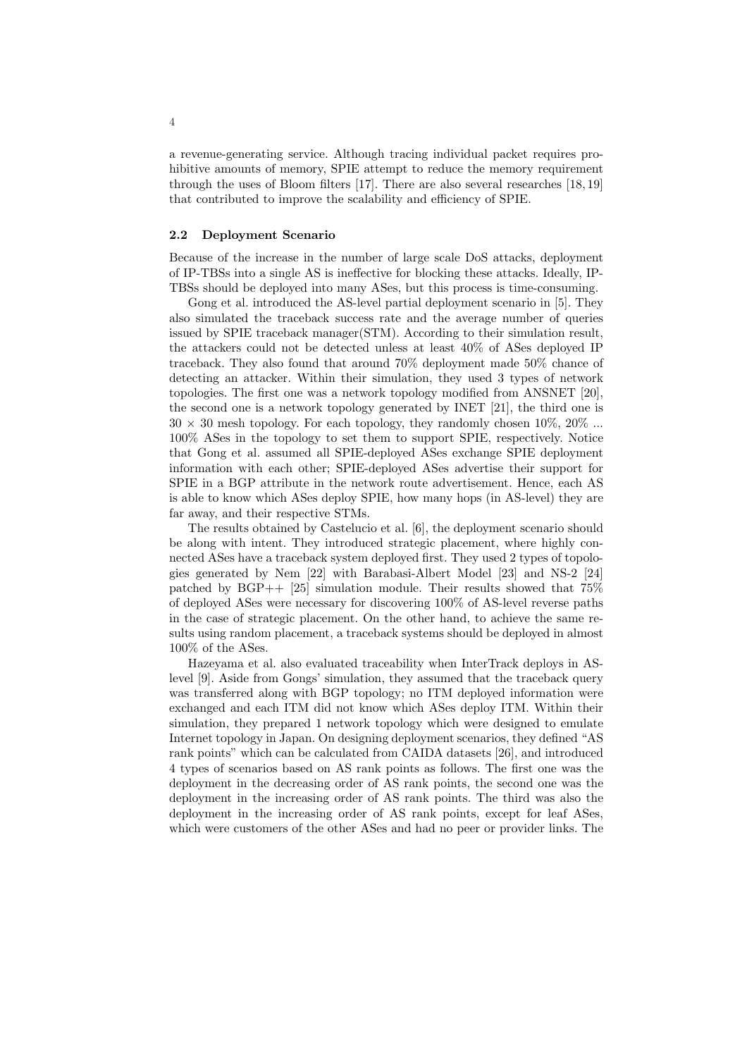a revenue-generating service. Although tracing individual packet requires prohibitive amounts of memory, SPIE attempt to reduce the memory requirement through the uses of Bloom filters [17]. There are also several researches [18, 19] that contributed to improve the scalability and efficiency of SPIE.

#### 2.2 Deployment Scenario

Because of the increase in the number of large scale DoS attacks, deployment of IP-TBSs into a single AS is ineffective for blocking these attacks. Ideally, IP-TBSs should be deployed into many ASes, but this process is time-consuming.

Gong et al. introduced the AS-level partial deployment scenario in [5]. They also simulated the traceback success rate and the average number of queries issued by SPIE traceback manager(STM). According to their simulation result, the attackers could not be detected unless at least 40% of ASes deployed IP traceback. They also found that around 70% deployment made 50% chance of detecting an attacker. Within their simulation, they used 3 types of network topologies. The first one was a network topology modified from ANSNET [20], the second one is a network topology generated by INET [21], the third one is  $30 \times 30$  mesh topology. For each topology, they randomly chosen  $10\%$ ,  $20\%$  ... 100% ASes in the topology to set them to support SPIE, respectively. Notice that Gong et al. assumed all SPIE-deployed ASes exchange SPIE deployment information with each other; SPIE-deployed ASes advertise their support for SPIE in a BGP attribute in the network route advertisement. Hence, each AS is able to know which ASes deploy SPIE, how many hops (in AS-level) they are far away, and their respective STMs.

The results obtained by Castelucio et al. [6], the deployment scenario should be along with intent. They introduced strategic placement, where highly connected ASes have a traceback system deployed first. They used 2 types of topologies generated by Nem [22] with Barabasi-Albert Model [23] and NS-2 [24] patched by  $BGP++$  [25] simulation module. Their results showed that 75% of deployed ASes were necessary for discovering 100% of AS-level reverse paths in the case of strategic placement. On the other hand, to achieve the same results using random placement, a traceback systems should be deployed in almost 100% of the ASes.

Hazeyama et al. also evaluated traceability when InterTrack deploys in ASlevel [9]. Aside from Gongs' simulation, they assumed that the traceback query was transferred along with BGP topology; no ITM deployed information were exchanged and each ITM did not know which ASes deploy ITM. Within their simulation, they prepared 1 network topology which were designed to emulate Internet topology in Japan. On designing deployment scenarios, they defined "AS rank points" which can be calculated from CAIDA datasets [26], and introduced 4 types of scenarios based on AS rank points as follows. The first one was the deployment in the decreasing order of AS rank points, the second one was the deployment in the increasing order of AS rank points. The third was also the deployment in the increasing order of AS rank points, except for leaf ASes, which were customers of the other ASes and had no peer or provider links. The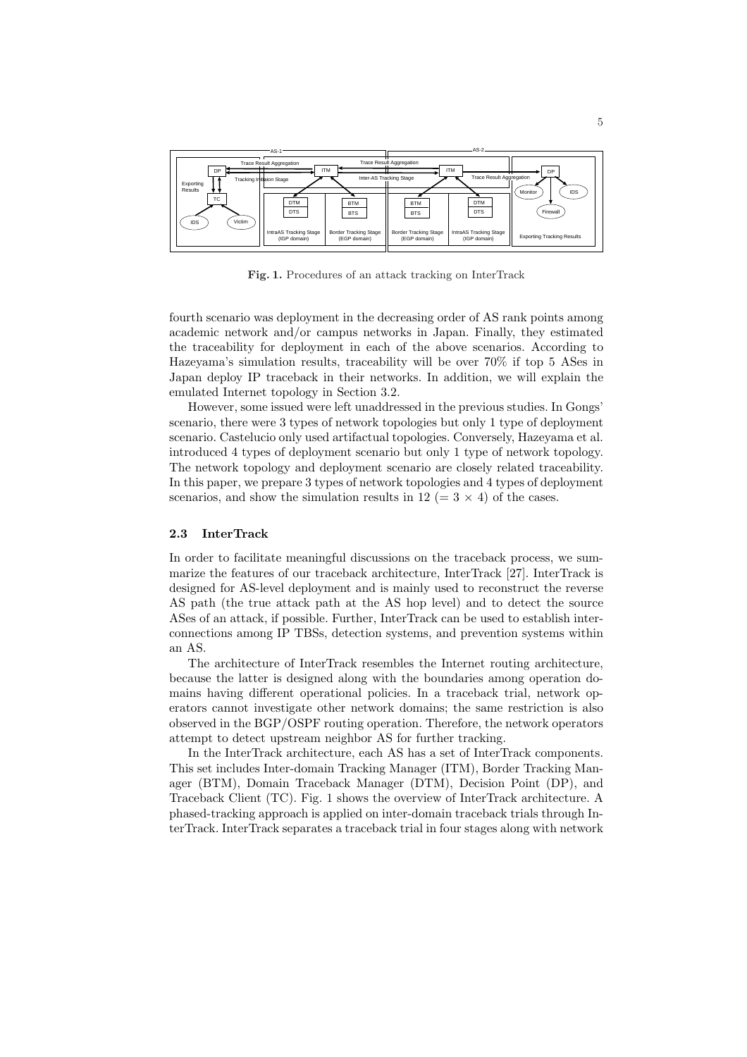

Fig. 1. Procedures of an attack tracking on InterTrack

fourth scenario was deployment in the decreasing order of AS rank points among academic network and/or campus networks in Japan. Finally, they estimated the traceability for deployment in each of the above scenarios. According to Hazeyama's simulation results, traceability will be over 70% if top 5 ASes in Japan deploy IP traceback in their networks. In addition, we will explain the emulated Internet topology in Section 3.2.

However, some issued were left unaddressed in the previous studies. In Gongs' scenario, there were 3 types of network topologies but only 1 type of deployment scenario. Castelucio only used artifactual topologies. Conversely, Hazeyama et al. introduced 4 types of deployment scenario but only 1 type of network topology. The network topology and deployment scenario are closely related traceability. In this paper, we prepare 3 types of network topologies and 4 types of deployment scenarios, and show the simulation results in 12 ( $=$  3  $\times$  4) of the cases.

#### 2.3 InterTrack

In order to facilitate meaningful discussions on the traceback process, we summarize the features of our traceback architecture, InterTrack [27]. InterTrack is designed for AS-level deployment and is mainly used to reconstruct the reverse AS path (the true attack path at the AS hop level) and to detect the source ASes of an attack, if possible. Further, InterTrack can be used to establish interconnections among IP TBSs, detection systems, and prevention systems within an AS.

The architecture of InterTrack resembles the Internet routing architecture, because the latter is designed along with the boundaries among operation domains having different operational policies. In a traceback trial, network operators cannot investigate other network domains; the same restriction is also observed in the BGP/OSPF routing operation. Therefore, the network operators attempt to detect upstream neighbor AS for further tracking.

In the InterTrack architecture, each AS has a set of InterTrack components. This set includes Inter-domain Tracking Manager (ITM), Border Tracking Manager (BTM), Domain Traceback Manager (DTM), Decision Point (DP), and Traceback Client (TC). Fig. 1 shows the overview of InterTrack architecture. A phased-tracking approach is applied on inter-domain traceback trials through InterTrack. InterTrack separates a traceback trial in four stages along with network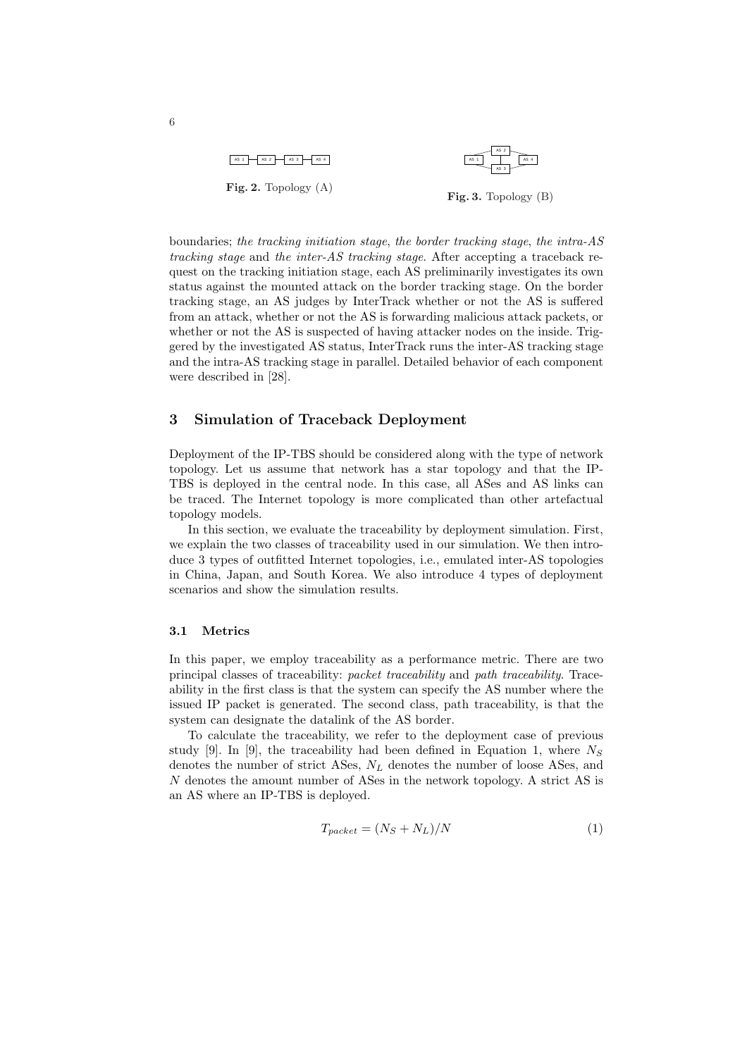

boundaries; the tracking initiation stage, the border tracking stage, the intra-AS tracking stage and the inter-AS tracking stage. After accepting a traceback request on the tracking initiation stage, each AS preliminarily investigates its own status against the mounted attack on the border tracking stage. On the border tracking stage, an AS judges by InterTrack whether or not the AS is suffered from an attack, whether or not the AS is forwarding malicious attack packets, or whether or not the AS is suspected of having attacker nodes on the inside. Triggered by the investigated AS status, InterTrack runs the inter-AS tracking stage and the intra-AS tracking stage in parallel. Detailed behavior of each component were described in [28].

## 3 Simulation of Traceback Deployment

Deployment of the IP-TBS should be considered along with the type of network topology. Let us assume that network has a star topology and that the IP-TBS is deployed in the central node. In this case, all ASes and AS links can be traced. The Internet topology is more complicated than other artefactual topology models.

In this section, we evaluate the traceability by deployment simulation. First, we explain the two classes of traceability used in our simulation. We then introduce 3 types of outfitted Internet topologies, i.e., emulated inter-AS topologies in China, Japan, and South Korea. We also introduce 4 types of deployment scenarios and show the simulation results.

#### 3.1 Metrics

In this paper, we employ traceability as a performance metric. There are two principal classes of traceability: packet traceability and path traceability. Traceability in the first class is that the system can specify the AS number where the issued IP packet is generated. The second class, path traceability, is that the system can designate the datalink of the AS border.

To calculate the traceability, we refer to the deployment case of previous study [9]. In [9], the traceability had been defined in Equation 1, where  $N<sub>S</sub>$ denotes the number of strict ASes,  $N_L$  denotes the number of loose ASes, and N denotes the amount number of ASes in the network topology. A strict AS is an AS where an IP-TBS is deployed.

$$
T_{packet} = (N_S + N_L)/N \tag{1}
$$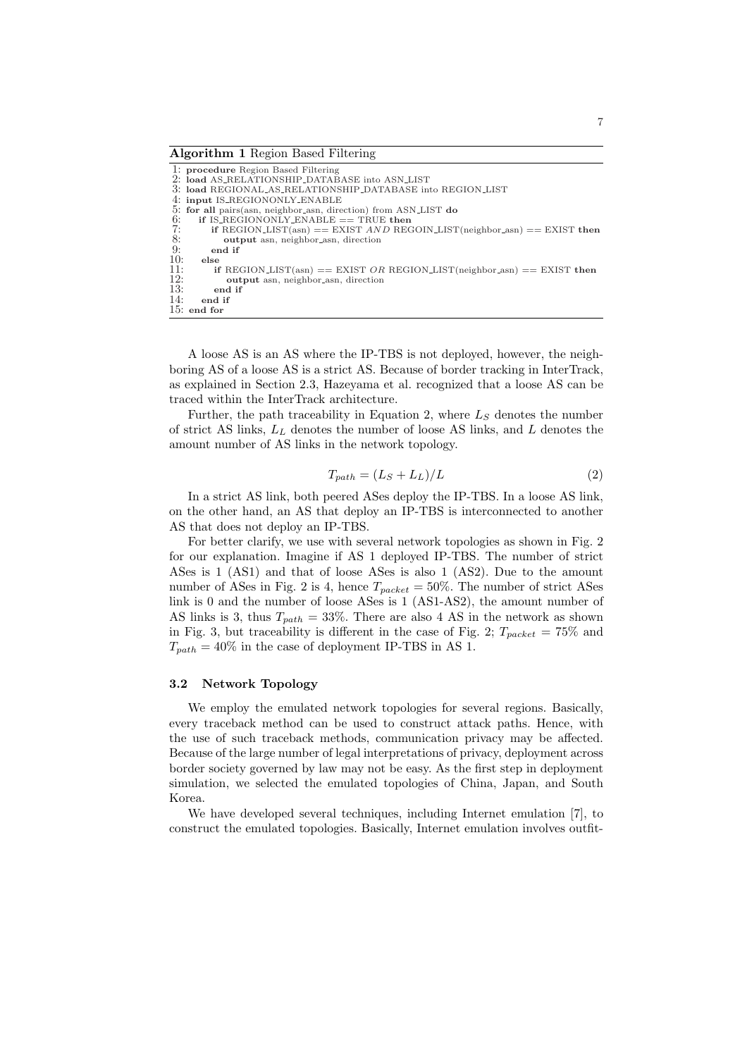#### Algorithm 1 Region Based Filtering

|     | 1: procedure Region Based Filtering                                      |
|-----|--------------------------------------------------------------------------|
|     | 2: load AS_RELATIONSHIP_DATABASE into ASN_LIST                           |
|     | 3: load REGIONAL AS RELATIONSHIP DATABASE into REGION LIST               |
|     | 4: input IS_REGIONONLY_ENABLE                                            |
|     | 5: for all pairs (asn, neighbor asn, direction) from ASN_LIST do         |
| 6:  | if IS_REGIONONLY_ENABLE $==$ TRUE then                                   |
| 7:  | if REGION_LIST(asn) == EXIST AND REGOIN_LIST(neighbor_asn) == EXIST then |
| 8:  | output asn, neighbor_asn, direction                                      |
| 9:  | end if                                                                   |
| 10: | else                                                                     |
| 11: | if REGION_LIST(asn) == EXIST OR REGION_LIST(neighbor_asn) == EXIST then  |
| 12: | output asn, neighbor_asn, direction                                      |
| 13: | end if                                                                   |
| 14: | end if                                                                   |
|     | $15:$ end for                                                            |
|     |                                                                          |

A loose AS is an AS where the IP-TBS is not deployed, however, the neighboring AS of a loose AS is a strict AS. Because of border tracking in InterTrack, as explained in Section 2.3, Hazeyama et al. recognized that a loose AS can be traced within the InterTrack architecture.

Further, the path traceability in Equation 2, where  $L<sub>S</sub>$  denotes the number of strict AS links,  $L<sub>L</sub>$  denotes the number of loose AS links, and  $L$  denotes the amount number of AS links in the network topology.

$$
T_{path} = (L_S + L_L)/L
$$
\n(2)

In a strict AS link, both peered ASes deploy the IP-TBS. In a loose AS link, on the other hand, an AS that deploy an IP-TBS is interconnected to another AS that does not deploy an IP-TBS.

For better clarify, we use with several network topologies as shown in Fig. 2 for our explanation. Imagine if AS 1 deployed IP-TBS. The number of strict ASes is 1 (AS1) and that of loose ASes is also 1 (AS2). Due to the amount number of ASes in Fig. 2 is 4, hence  $T_{packet} = 50\%$ . The number of strict ASes link is 0 and the number of loose ASes is 1 (AS1-AS2), the amount number of AS links is 3, thus  $T_{path} = 33\%$ . There are also 4 AS in the network as shown in Fig. 3, but traceability is different in the case of Fig. 2;  $T_{packet} = 75\%$  and  $T_{path} = 40\%$  in the case of deployment IP-TBS in AS 1.

### 3.2 Network Topology

We employ the emulated network topologies for several regions. Basically, every traceback method can be used to construct attack paths. Hence, with the use of such traceback methods, communication privacy may be affected. Because of the large number of legal interpretations of privacy, deployment across border society governed by law may not be easy. As the first step in deployment simulation, we selected the emulated topologies of China, Japan, and South Korea.

We have developed several techniques, including Internet emulation [7], to construct the emulated topologies. Basically, Internet emulation involves outfit-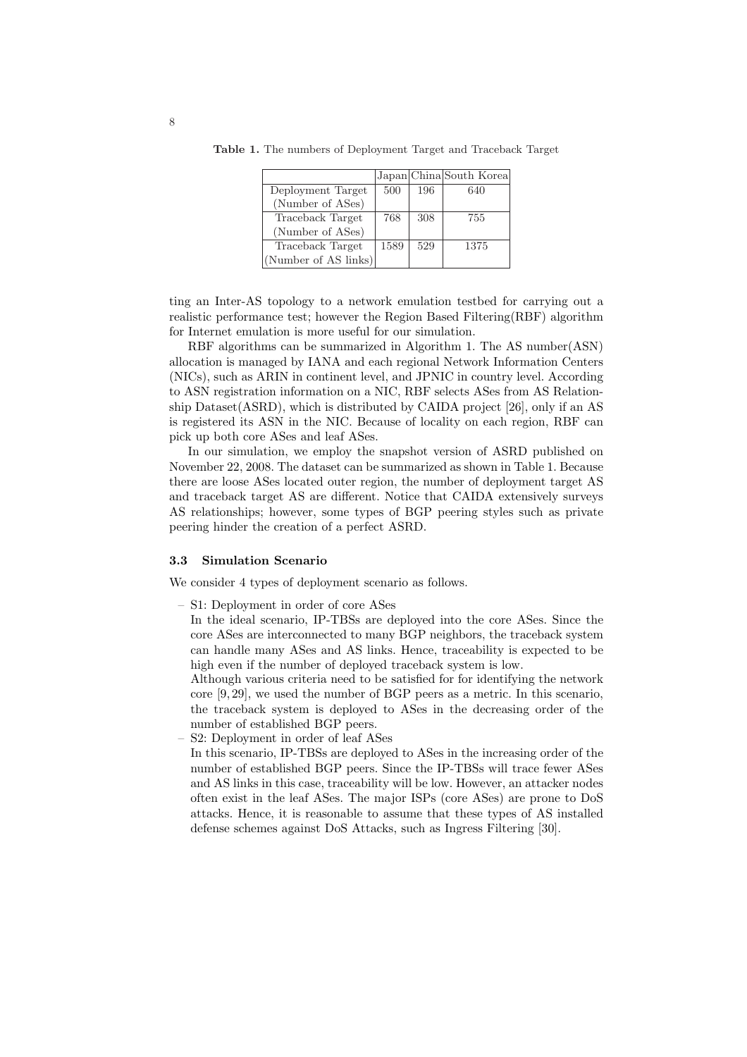|                      |      |     | Japan China South Korea |
|----------------------|------|-----|-------------------------|
| Deployment Target    | 500  | 196 | 640                     |
| (Number of ASes)     |      |     |                         |
| Traceback Target     | 768  | 308 | 755                     |
| (Number of ASes)     |      |     |                         |
| Traceback Target     | 1589 | 529 | 1375                    |
| (Number of AS links) |      |     |                         |

Table 1. The numbers of Deployment Target and Traceback Target

ting an Inter-AS topology to a network emulation testbed for carrying out a realistic performance test; however the Region Based Filtering(RBF) algorithm for Internet emulation is more useful for our simulation.

RBF algorithms can be summarized in Algorithm 1. The AS number(ASN) allocation is managed by IANA and each regional Network Information Centers (NICs), such as ARIN in continent level, and JPNIC in country level. According to ASN registration information on a NIC, RBF selects ASes from AS Relationship Dataset(ASRD), which is distributed by CAIDA project [26], only if an AS is registered its ASN in the NIC. Because of locality on each region, RBF can pick up both core ASes and leaf ASes.

In our simulation, we employ the snapshot version of ASRD published on November 22, 2008. The dataset can be summarized as shown in Table 1. Because there are loose ASes located outer region, the number of deployment target AS and traceback target AS are different. Notice that CAIDA extensively surveys AS relationships; however, some types of BGP peering styles such as private peering hinder the creation of a perfect ASRD.

## 3.3 Simulation Scenario

We consider 4 types of deployment scenario as follows.

– S1: Deployment in order of core ASes

In the ideal scenario, IP-TBSs are deployed into the core ASes. Since the core ASes are interconnected to many BGP neighbors, the traceback system can handle many ASes and AS links. Hence, traceability is expected to be high even if the number of deployed traceback system is low.

Although various criteria need to be satisfied for for identifying the network core [9, 29], we used the number of BGP peers as a metric. In this scenario, the traceback system is deployed to ASes in the decreasing order of the number of established BGP peers.

– S2: Deployment in order of leaf ASes

In this scenario, IP-TBSs are deployed to ASes in the increasing order of the number of established BGP peers. Since the IP-TBSs will trace fewer ASes and AS links in this case, traceability will be low. However, an attacker nodes often exist in the leaf ASes. The major ISPs (core ASes) are prone to DoS attacks. Hence, it is reasonable to assume that these types of AS installed defense schemes against DoS Attacks, such as Ingress Filtering [30].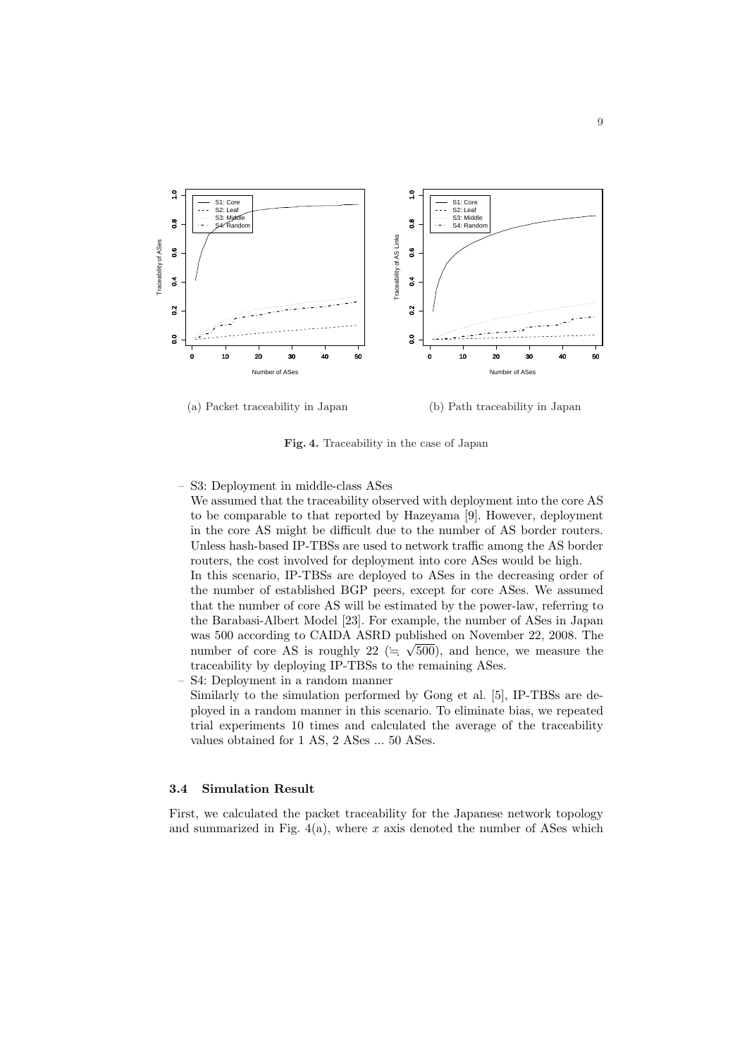

Fig. 4. Traceability in the case of Japan

– S3: Deployment in middle-class ASes

We assumed that the traceability observed with deployment into the core AS to be comparable to that reported by Hazeyama [9]. However, deployment in the core AS might be difficult due to the number of AS border routers. Unless hash-based IP-TBSs are used to network traffic among the AS border routers, the cost involved for deployment into core ASes would be high.

In this scenario, IP-TBSs are deployed to ASes in the decreasing order of the number of established BGP peers, except for core ASes. We assumed that the number of core AS will be estimated by the power-law, referring to the Barabasi-Albert Model [23]. For example, the number of ASes in Japan was 500 according to CAIDA ASRD published on November 22, 2008. The number of core AS is roughly 22 ( $\equiv \sqrt{500}$ ), and hence, we measure the traceability by deploying IP-TBSs to the remaining ASes.

– S4: Deployment in a random manner Similarly to the simulation performed by Gong et al. [5], IP-TBSs are deployed in a random manner in this scenario. To eliminate bias, we repeated trial experiments 10 times and calculated the average of the traceability values obtained for 1 AS, 2 ASes ... 50 ASes.

# 3.4 Simulation Result

First, we calculated the packet traceability for the Japanese network topology and summarized in Fig.  $4(a)$ , where x axis denoted the number of ASes which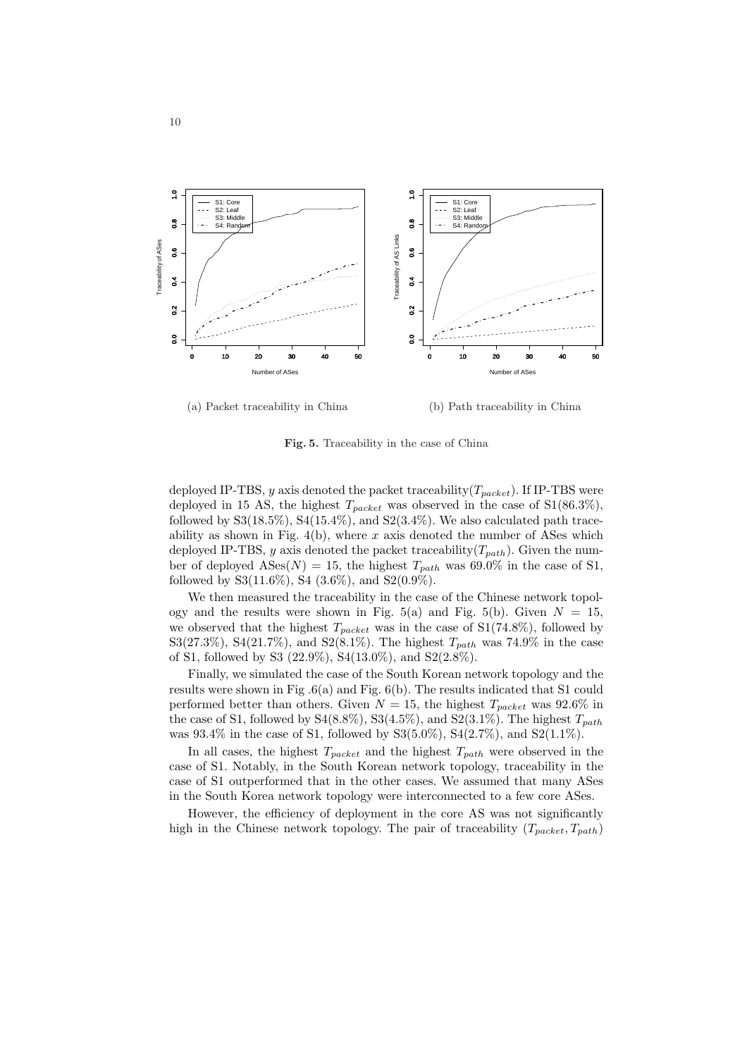

(a) Packet traceability in China

(b) Path traceability in China

Fig. 5. Traceability in the case of China

deployed IP-TBS, y axis denoted the packet traceability  $(T_{packet})$ . If IP-TBS were deployed in 15 AS, the highest  $T_{packet}$  was observed in the case of  $S1(86.3\%),$ followed by  $S3(18.5\%), S4(15.4\%),$  and  $S2(3.4\%).$  We also calculated path traceability as shown in Fig.  $4(b)$ , where x axis denoted the number of ASes which deployed IP-TBS, y axis denoted the packet traceability( $T_{path}$ ). Given the number of deployed ASes(N) = 15, the highest  $T_{path}$  was 69.0% in the case of S1, followed by  $S3(11.6\%), S4(3.6\%), and S2(0.9\%).$ 

We then measured the traceability in the case of the Chinese network topology and the results were shown in Fig. 5(a) and Fig. 5(b). Given  $N = 15$ , we observed that the highest  $T_{packet}$  was in the case of S1(74.8%), followed by S3(27.3%), S4(21.7%), and S2(8.1%). The highest  $T_{path}$  was 74.9% in the case of S1, followed by S3 (22.9%), S4(13.0%), and S2(2.8%).

Finally, we simulated the case of the South Korean network topology and the results were shown in Fig .6(a) and Fig. 6(b). The results indicated that S1 could performed better than others. Given  $N = 15$ , the highest  $T_{packet}$  was 92.6% in the case of S1, followed by S4(8.8%), S3(4.5%), and S2(3.1%). The highest  $T_{path}$ was  $93.4\%$  in the case of S1, followed by S3(5.0%), S4(2.7%), and S2(1.1%).

In all cases, the highest  $T_{packet}$  and the highest  $T_{path}$  were observed in the case of S1. Notably, in the South Korean network topology, traceability in the case of S1 outperformed that in the other cases. We assumed that many ASes in the South Korea network topology were interconnected to a few core ASes.

However, the efficiency of deployment in the core AS was not significantly high in the Chinese network topology. The pair of traceability  $(T_{packet}, T_{path})$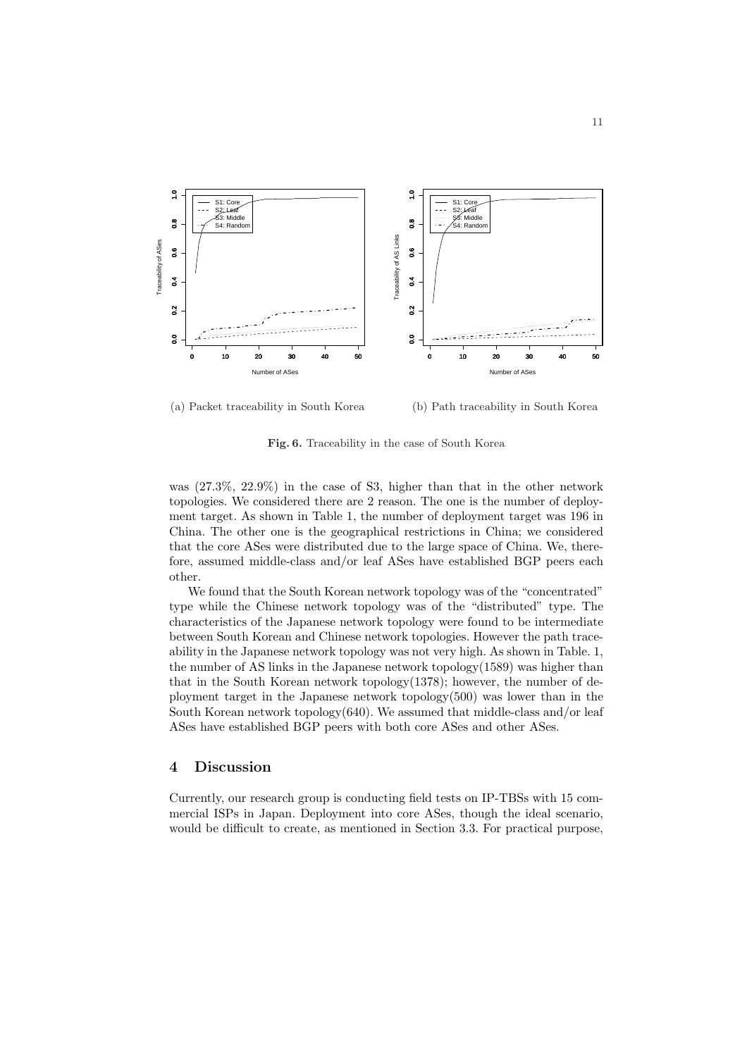

(a) Packet traceability in South Korea

(b) Path traceability in South Korea

Fig. 6. Traceability in the case of South Korea

was (27.3%, 22.9%) in the case of S3, higher than that in the other network topologies. We considered there are 2 reason. The one is the number of deployment target. As shown in Table 1, the number of deployment target was 196 in China. The other one is the geographical restrictions in China; we considered that the core ASes were distributed due to the large space of China. We, therefore, assumed middle-class and/or leaf ASes have established BGP peers each other.

We found that the South Korean network topology was of the "concentrated" type while the Chinese network topology was of the "distributed" type. The characteristics of the Japanese network topology were found to be intermediate between South Korean and Chinese network topologies. However the path traceability in the Japanese network topology was not very high. As shown in Table. 1, the number of AS links in the Japanese network topology(1589) was higher than that in the South Korean network topology(1378); however, the number of deployment target in the Japanese network topology $(500)$  was lower than in the South Korean network topology $(640)$ . We assumed that middle-class and/or leaf ASes have established BGP peers with both core ASes and other ASes.

# 4 Discussion

Currently, our research group is conducting field tests on IP-TBSs with 15 commercial ISPs in Japan. Deployment into core ASes, though the ideal scenario, would be difficult to create, as mentioned in Section 3.3. For practical purpose,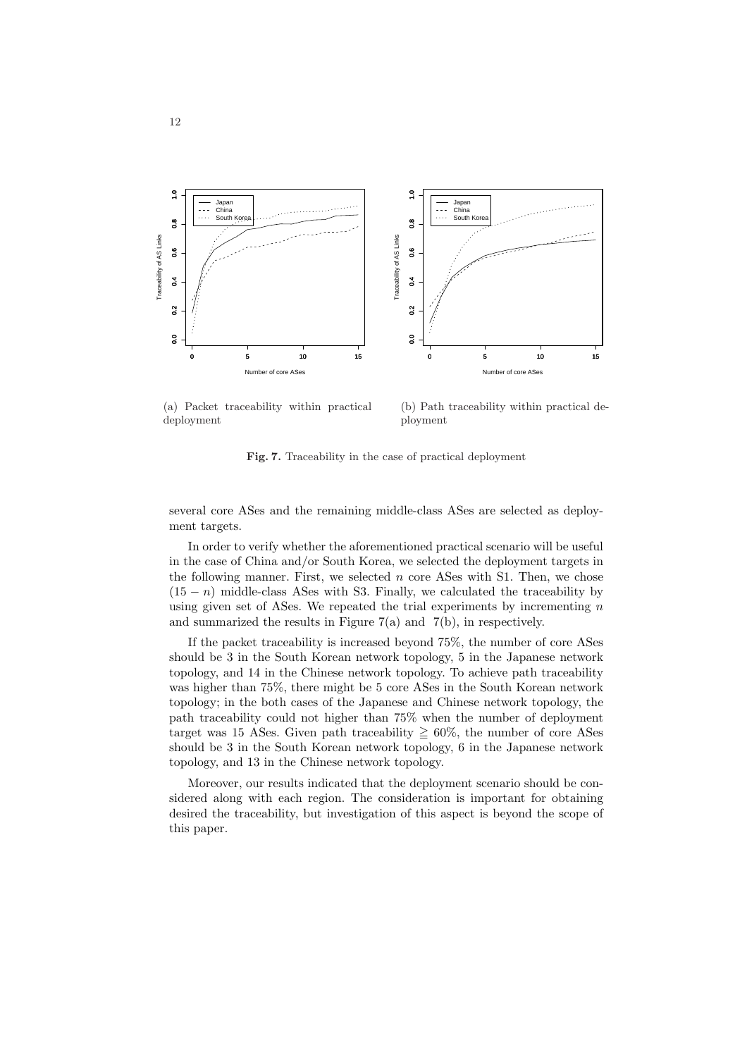

(a) Packet traceability within practical deployment

(b) Path traceability within practical deployment

Fig. 7. Traceability in the case of practical deployment

several core ASes and the remaining middle-class ASes are selected as deployment targets.

In order to verify whether the aforementioned practical scenario will be useful in the case of China and/or South Korea, we selected the deployment targets in the following manner. First, we selected  $n$  core ASes with S1. Then, we chose  $(15 - n)$  middle-class ASes with S3. Finally, we calculated the traceability by using given set of ASes. We repeated the trial experiments by incrementing  $n$ and summarized the results in Figure 7(a) and 7(b), in respectively.

If the packet traceability is increased beyond 75%, the number of core ASes should be 3 in the South Korean network topology, 5 in the Japanese network topology, and 14 in the Chinese network topology. To achieve path traceability was higher than 75%, there might be 5 core ASes in the South Korean network topology; in the both cases of the Japanese and Chinese network topology, the path traceability could not higher than 75% when the number of deployment target was 15 ASes. Given path traceability  $\geq 60\%$ , the number of core ASes should be 3 in the South Korean network topology, 6 in the Japanese network topology, and 13 in the Chinese network topology.

Moreover, our results indicated that the deployment scenario should be considered along with each region. The consideration is important for obtaining desired the traceability, but investigation of this aspect is beyond the scope of this paper.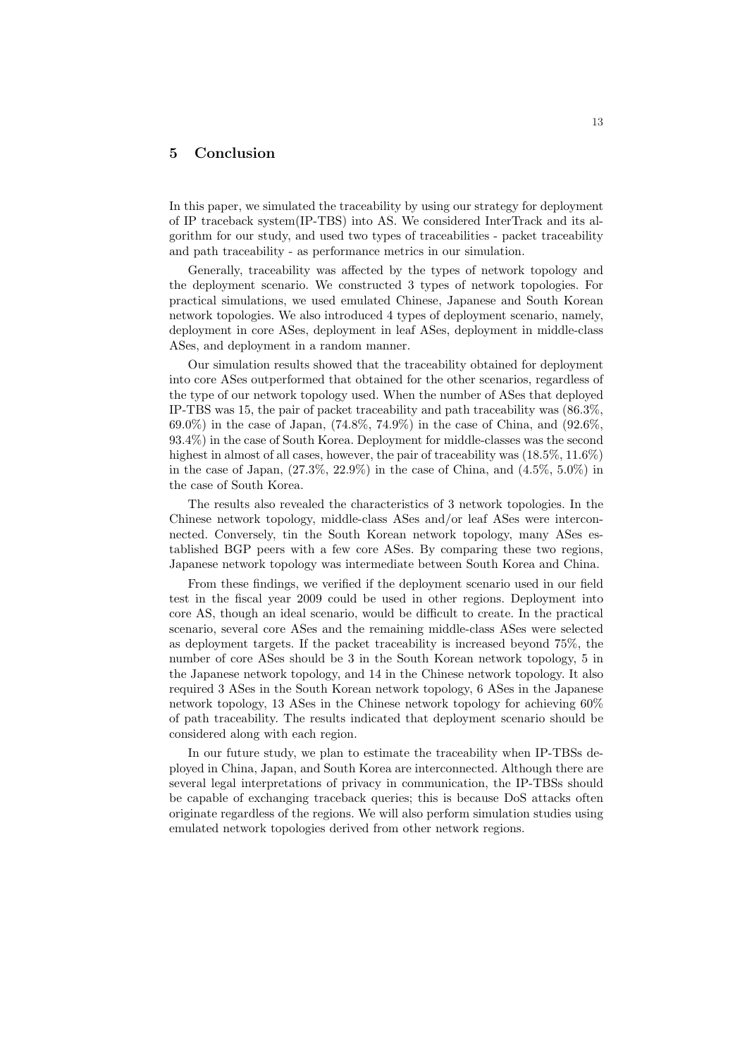## 5 Conclusion

In this paper, we simulated the traceability by using our strategy for deployment of IP traceback system(IP-TBS) into AS. We considered InterTrack and its algorithm for our study, and used two types of traceabilities - packet traceability and path traceability - as performance metrics in our simulation.

Generally, traceability was affected by the types of network topology and the deployment scenario. We constructed 3 types of network topologies. For practical simulations, we used emulated Chinese, Japanese and South Korean network topologies. We also introduced 4 types of deployment scenario, namely, deployment in core ASes, deployment in leaf ASes, deployment in middle-class ASes, and deployment in a random manner.

Our simulation results showed that the traceability obtained for deployment into core ASes outperformed that obtained for the other scenarios, regardless of the type of our network topology used. When the number of ASes that deployed IP-TBS was 15, the pair of packet traceability and path traceability was (86.3%, 69.0%) in the case of Japan, (74.8%, 74.9%) in the case of China, and (92.6%, 93.4%) in the case of South Korea. Deployment for middle-classes was the second highest in almost of all cases, however, the pair of traceability was  $(18.5\%, 11.6\%)$ in the case of Japan,  $(27.3\%, 22.9\%)$  in the case of China, and  $(4.5\%, 5.0\%)$  in the case of South Korea.

The results also revealed the characteristics of 3 network topologies. In the Chinese network topology, middle-class ASes and/or leaf ASes were interconnected. Conversely, tin the South Korean network topology, many ASes established BGP peers with a few core ASes. By comparing these two regions, Japanese network topology was intermediate between South Korea and China.

From these findings, we verified if the deployment scenario used in our field test in the fiscal year 2009 could be used in other regions. Deployment into core AS, though an ideal scenario, would be difficult to create. In the practical scenario, several core ASes and the remaining middle-class ASes were selected as deployment targets. If the packet traceability is increased beyond 75%, the number of core ASes should be 3 in the South Korean network topology, 5 in the Japanese network topology, and 14 in the Chinese network topology. It also required 3 ASes in the South Korean network topology, 6 ASes in the Japanese network topology, 13 ASes in the Chinese network topology for achieving 60% of path traceability. The results indicated that deployment scenario should be considered along with each region.

In our future study, we plan to estimate the traceability when IP-TBSs deployed in China, Japan, and South Korea are interconnected. Although there are several legal interpretations of privacy in communication, the IP-TBSs should be capable of exchanging traceback queries; this is because DoS attacks often originate regardless of the regions. We will also perform simulation studies using emulated network topologies derived from other network regions.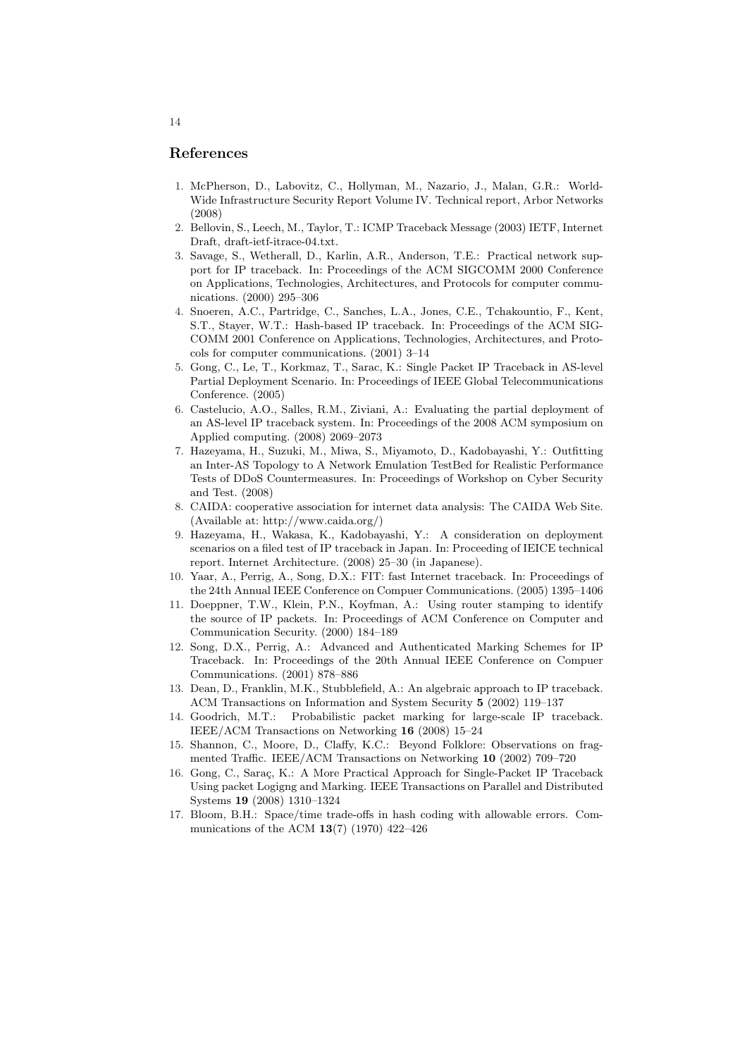## References

- 1. McPherson, D., Labovitz, C., Hollyman, M., Nazario, J., Malan, G.R.: World-Wide Infrastructure Security Report Volume IV. Technical report, Arbor Networks (2008)
- 2. Bellovin, S., Leech, M., Taylor, T.: ICMP Traceback Message (2003) IETF, Internet Draft, draft-ietf-itrace-04.txt.
- 3. Savage, S., Wetherall, D., Karlin, A.R., Anderson, T.E.: Practical network support for IP traceback. In: Proceedings of the ACM SIGCOMM 2000 Conference on Applications, Technologies, Architectures, and Protocols for computer communications. (2000) 295–306
- 4. Snoeren, A.C., Partridge, C., Sanches, L.A., Jones, C.E., Tchakountio, F., Kent, S.T., Stayer, W.T.: Hash-based IP traceback. In: Proceedings of the ACM SIG-COMM 2001 Conference on Applications, Technologies, Architectures, and Protocols for computer communications. (2001) 3–14
- 5. Gong, C., Le, T., Korkmaz, T., Sarac, K.: Single Packet IP Traceback in AS-level Partial Deployment Scenario. In: Proceedings of IEEE Global Telecommunications Conference. (2005)
- 6. Castelucio, A.O., Salles, R.M., Ziviani, A.: Evaluating the partial deployment of an AS-level IP traceback system. In: Proceedings of the 2008 ACM symposium on Applied computing. (2008) 2069–2073
- 7. Hazeyama, H., Suzuki, M., Miwa, S., Miyamoto, D., Kadobayashi, Y.: Outfitting an Inter-AS Topology to A Network Emulation TestBed for Realistic Performance Tests of DDoS Countermeasures. In: Proceedings of Workshop on Cyber Security and Test. (2008)
- 8. CAIDA: cooperative association for internet data analysis: The CAIDA Web Site. (Available at: http://www.caida.org/)
- 9. Hazeyama, H., Wakasa, K., Kadobayashi, Y.: A consideration on deployment scenarios on a filed test of IP traceback in Japan. In: Proceeding of IEICE technical report. Internet Architecture. (2008) 25–30 (in Japanese).
- 10. Yaar, A., Perrig, A., Song, D.X.: FIT: fast Internet traceback. In: Proceedings of the 24th Annual IEEE Conference on Compuer Communications. (2005) 1395–1406
- 11. Doeppner, T.W., Klein, P.N., Koyfman, A.: Using router stamping to identify the source of IP packets. In: Proceedings of ACM Conference on Computer and Communication Security. (2000) 184–189
- 12. Song, D.X., Perrig, A.: Advanced and Authenticated Marking Schemes for IP Traceback. In: Proceedings of the 20th Annual IEEE Conference on Compuer Communications. (2001) 878–886
- 13. Dean, D., Franklin, M.K., Stubblefield, A.: An algebraic approach to IP traceback. ACM Transactions on Information and System Security 5 (2002) 119–137
- 14. Goodrich, M.T.: Probabilistic packet marking for large-scale IP traceback. IEEE/ACM Transactions on Networking 16 (2008) 15–24
- 15. Shannon, C., Moore, D., Claffy, K.C.: Beyond Folklore: Observations on fragmented Traffic. IEEE/ACM Transactions on Networking 10 (2002) 709–720
- 16. Gong, C., Saraç, K.: A More Practical Approach for Single-Packet IP Traceback Using packet Logigng and Marking. IEEE Transactions on Parallel and Distributed Systems 19 (2008) 1310–1324
- 17. Bloom, B.H.: Space/time trade-offs in hash coding with allowable errors. Communications of the ACM 13(7) (1970) 422–426

#### 14